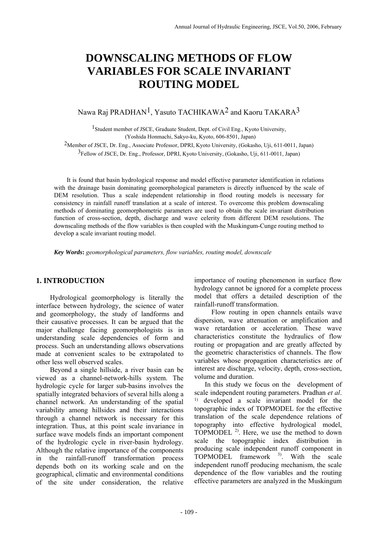# **DOWNSCALING METHODS OF FLOW VARIABLES FOR SCALE INVARIANT ROUTING MODEL**

# Nawa Raj PRADHAN1, Yasuto TACHIKAWA2 and Kaoru TAKARA3

1Student member of JSCE, Graduate Student, Dept. of Civil Eng., Kyoto University, (Yoshida Honmachi, Sakyo-ku, Kyoto, 606-8501, Japan)

2Member of JSCE, Dr. Eng., Associate Professor, DPRI, Kyoto University, (Gokasho, Uji, 611-0011, Japan) 3Fellow of JSCE, Dr. Eng., Professor, DPRI, Kyoto University, (Gokasho, Uji, 611-0011, Japan)

 It is found that basin hydrological response and model effective parameter identification in relations with the drainage basin dominating geomorphological parameters is directly influenced by the scale of DEM resolution. Thus a scale independent relationship in flood routing models is necessary for consistency in rainfall runoff translation at a scale of interest. To overcome this problem downscaling methods of dominating geomorphometric parameters are used to obtain the scale invariant distribution function of cross-section, depth, discharge and wave celerity from different DEM resolutions. The downscaling methods of the flow variables is then coupled with the Muskingum-Cunge routing method to develop a scale invariant routing model.

*Key Words***:** *geomorphological parameters, flow variables, routing model, downscale* 

# **1. INTRODUCTION**

 Hydrological geomorphology is literally the interface between hydrology, the science of water and geomorphology, the study of landforms and their causative processes. It can be argued that the major challenge facing geomorphologists is in understanding scale dependencies of form and process. Such an understanding allows observations made at convenient scales to be extrapolated to other less well observed scales.

 Beyond a single hillside, a river basin can be viewed as a channel-network-hills system. The hydrologic cycle for larger sub-basins involves the spatially integrated behaviors of several hills along a channel network. An understanding of the spatial variability among hillsides and their interactions through a channel network is necessary for this integration. Thus, at this point scale invariance in surface wave models finds an important component of the hydrologic cycle in river-basin hydrology. Although the relative importance of the components in the rainfall-runoff transformation process depends both on its working scale and on the geographical, climatic and environmental conditions of the site under consideration, the relative

importance of routing phenomenon in surface flow hydrology cannot be ignored for a complete process model that offers a detailed description of the rainfall-runoff transformation.

Flow routing in open channels entails wave dispersion, wave attenuation or amplification and wave retardation or acceleration. These wave characteristics constitute the hydraulics of flow routing or propagation and are greatly affected by the geometric characteristics of channels. The flow variables whose propagation characteristics are of interest are discharge, velocity, depth, cross-section, volume and duration.

 In this study we focus on the development of scale independent routing parameters. Pradhan *et al.* <sup>1)</sup> developed a scale invariant model for the topographic index of TOPMODEL for the effective translation of the scale dependence relations of topography into effective hydrological model, TOPMODEL 2). Here, we use the method to down scale the topographic index distribution in producing scale independent runoff component in  $TOPMODEL$  framework  $^{3}$ . With the scale independent runoff producing mechanism, the scale dependence of the flow variables and the routing effective parameters are analyzed in the Muskingum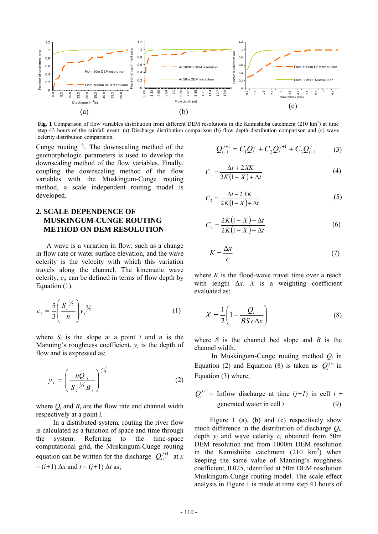

**Fig. 1** Comparison of flow variables distribution from different DEM resolutions in the Kamishiiba catchment (210 km<sup>2</sup>) at time step 43 hours of the rainfall event. (a) Discharge distribution comparison (b) flow depth distribution comparison and (c) wave celerity distribution comparision.

Cunge routing  $4^{\circ}$ . The downscaling method of the geomorphologic parameters is used to develop the downscaling method of the flow variables. Finally, coupling the downscaling method of the flow variables with the Muskingum-Cunge routing method, a scale independent routing model is developed.

# **2. SCALE DEPENDENCE OF MUSKINGUM-CUNGE ROUTING METHOD ON DEM RESOLUTION**

 A wave is a variation in flow, such as a change in flow rate or water surface elevation, and the wave celerity is the velocity with which this variation travels along the channel. The kinematic wave celerity, *ci*, can be defined in terms of flow depth by Equation (1).

$$
c_i = \frac{5}{3} \left( \frac{S_i^{\frac{1}{2}}}{n} \right) y_i^{\frac{2}{3}} \tag{1}
$$

where  $S_i$  is the slope at a point *i* and *n* is the Manning's roughness coefficient.  $y_i$  is the depth of flow and is expressed as;

$$
y_i = \left(\frac{nQ_i}{S_i^{1/2}B_i}\right)^{3/5} \tag{2}
$$

where  $Q_i$  and  $B_i$  are the flow rate and channel width respectively at a point *i.*

In a distributed system, routing the river flow is calculated as a function of space and time through the system. Referring to the time-space computational grid, the Muskingum-Cunge routing equation can be written for the discharge  $Q_{i+1}^{j+1}$ +  $Q_{i+1}^{j+1}$  at *x*  $=(i+1)$   $\Delta x$  and  $t = (j+1)$   $\Delta t$  as;

$$
Q_{i+1}^{j+1} = C_1 Q_i^j + C_2 Q_i^{j+1} + C_3 Q_{i+1}^j \tag{3}
$$

$$
C_1 = \frac{\Delta t + 2XK}{2K(1 - X) + \Delta t}
$$
 (4)

$$
C_2 = \frac{\Delta t - 2XK}{2K(1 - X) + \Delta t} \tag{5}
$$

$$
C_3 = \frac{2K(1-X) - \Delta t}{2K(1-X) + \Delta t}
$$
 (6)

$$
K = \frac{\Delta x}{c} \tag{7}
$$

where *K* is the flood-wave travel time over a reach with length  $\Delta x$ . *X* is a weighting coefficient evaluated as;

$$
X = \frac{1}{2} \left( 1 - \frac{Q_i}{BS \, c \Delta x} \right) \tag{8}
$$

where *S* is the channel bed slope and *B* is the channel width.

In Muskingum-Cunge routing method *Qi* in Equation (2) and Equation (8) is taken as  $Q_i^{j+1}$  in Equation (3) where,

$$
Q_i^{j+1}
$$
 = Inflow discharge at time  $(j+1)$  in cell  $i$  +  
generated water in cell  $i$  (9)

Figure 1 (a), (b) and (c) respectively show much difference in the distribution of discharge *Qi*, depth  $y_i$  and wave celerity  $c_i$  obtained from 50m DEM resolution and from 1000m DEM resolution in the Kamishiiba catchment  $(210 \text{ km}^2)$  when keeping the same value of Manning's roughness coefficient, 0.025, identified at 50m DEM resolution Muskingum-Cunge routing model. The scale effect analysis in Figure 1 is made at time step 43 hours of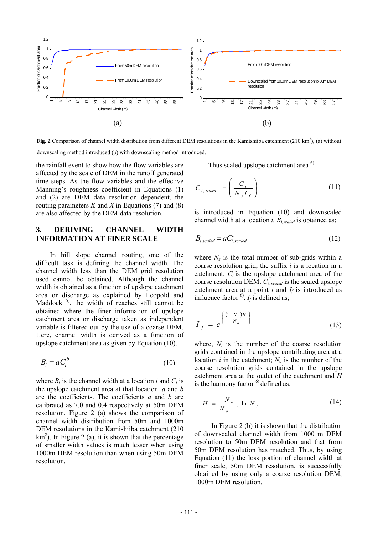

Fig. 2 Comparison of channel width distribution from different DEM resolutions in the Kamishiiba catchment (210 km<sup>2</sup>), (a) without downscaling method introduced (b) with downscaling method introduced.

the rainfall event to show how the flow variables are affected by the scale of DEM in the runoff generated time steps. As the flow variables and the effective Manning's roughness coefficient in Equations (1) and (2) are DEM data resolution dependent, the routing parameters  $K$  and  $X$  in Equations (7) and (8) are also affected by the DEM data resolution.

### **3. DERIVING CHANNEL WIDTH INFORMATION AT FINER SCALE**

 In hill slope channel routing, one of the difficult task is defining the channel width. The channel width less than the DEM grid resolution used cannot be obtained. Although the channel width is obtained as a function of upslope catchment area or discharge as explained by Leopold and Maddock  $5$ , the width of reaches still cannot be obtained where the finer information of upslope catchment area or discharge taken as independent variable is filtered out by the use of a coarse DEM. Here, channel width is derived as a function of upslope catchment area as given by Equation (10).

$$
B_i = aC_i^b \tag{10}
$$

where  $B_i$  is the channel width at a location *i* and  $C_i$  is the upslope catchment area at that location. *a* and *b*  are the coefficients. The coefficients *a* and *b* are calibrated as 7.0 and 0.4 respectively at 50m DEM resolution. Figure 2 (a) shows the comparison of channel width distribution from 50m and 1000m DEM resolutions in the Kamishiiba catchment (210  $km<sup>2</sup>$ ). In Figure 2 (a), it is shown that the percentage of smaller width values is much lesser when using 1000m DEM resolution than when using 50m DEM resolution.

Thus scaled upslope catchment area <sup>6)</sup>

$$
C_{i, scaled} = \left(\frac{C_i}{N_s I_f}\right) \tag{11}
$$

is introduced in Equation (10) and downscaled channel width at a location *i, Bi,scaled* is obtained as;

$$
B_{i,scaled} = aC_{i,scaled}^{b}
$$
 (12)

where  $N_s$  is the total number of sub-grids within a coarse resolution grid, the suffix *i* is a location in a catchment;  $C_i$  is the upslope catchment area of the coarse resolution DEM, *Ci, scaled* is the scaled upslope catchment area at a point  $i$  and  $I_f$  is introduced as influence factor  $\frac{6}{f}$ . *I<sub>f</sub>* is defined as;

$$
I_f = e^{\left\{\frac{(1-N_i)H}{N_o}\right\}}
$$
 (13)

where,  $N_i$  is the number of the coarse resolution grids contained in the upslope contributing area at a location  $i$  in the catchment;  $N<sub>o</sub>$  is the number of the coarse resolution grids contained in the upslope catchment area at the outlet of the catchment and *H* is the harmony factor  $6$  defined as;

$$
H = \frac{N_o}{N_o - 1} \ln N_s \tag{14}
$$

In Figure 2 (b) it is shown that the distribution of downscaled channel width from 1000 m DEM resolution to 50m DEM resolution and that from 50m DEM resolution has matched. Thus, by using Equation (11) the loss portion of channel width at finer scale, 50m DEM resolution, is successfully obtained by using only a coarse resolution DEM, 1000m DEM resolution.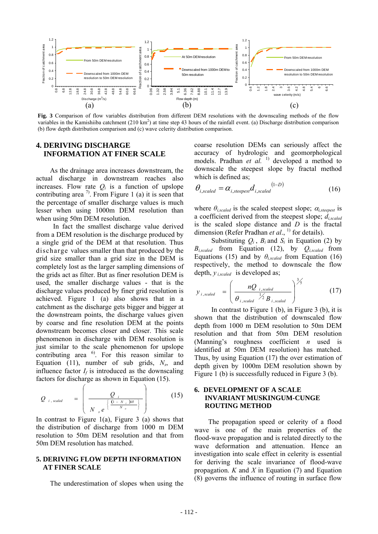

**Fig. 3** Comparison of flow variables distribution from different DEM resolutions with the downscaling methods of the flow variables in the Kamishiiba catchment  $(210 \text{ km}^2)$  at time step 43 hours of the rainfall event. (a) Discharge distribution comparison (b) flow depth distribution comparison and (c) wave celerity distribution comparison.

# **4. DERIVING DISCHARGE INFORMATION AT FINER SCALE**

 As the drainage area increases downstream, the actual discharge in downstream reaches also increases. Flow rate  $O_i$  is a function of upslope contributing area  $\frac{7}{1}$ . From Figure 1 (a) it is seen that the percentage of smaller discharge values is much lesser when using 1000m DEM resolution than when using 50m DEM resolution.

In fact the smallest discharge value derived from a DEM resolution is the discharge produced by a single grid of the DEM at that resolution. Thus discharge values smaller than that produced by the grid size smaller than a grid size in the DEM is completely lost as the larger sampling dimensions of the grids act as filter. But as finer resolution DEM is used, the smaller discharge values - that is the discharge values produced by finer grid resolution is achieved. Figure 1 (a) also shows that in a catchment as the discharge gets bigger and bigger at the downstream points, the discharge values given by coarse and fine resolution DEM at the points downstream becomes closer and closer. This scale phenomenon in discharge with DEM resolution is just similar to the scale phenomenon for upslope contributing area  $\frac{6}{1}$ . For this reason similar to Equation (11), number of sub grids, *Ns*, and influence factor  $I_f$  is introduced as the downscaling factors for discharge as shown in Equation (15).

$$
Q_{i, scaled} = \left(\frac{Q_{i}}{N_{s}e^{\left\{\frac{(1-N_{i})H}{N_{o}}\right\}}}\right)
$$
 (15)

In contrast to Figure 1(a), Figure 3 (a) shows that the distribution of discharge from 1000 m DEM resolution to 50m DEM resolution and that from 50m DEM resolution has matched.

#### **5. DERIVING FLOW DEPTH INFORMATION AT FINER SCALE**

The underestimation of slopes when using the

coarse resolution DEMs can seriously affect the accuracy of hydrologic and geomorphological models. Pradhan *et al.* <sup>1)</sup> developed a method to downscale the steepest slope by fractal method which is defined as;

$$
\theta_{i, scaled} = \alpha_{i, steepest} d_{i, scaled}^{(1-D)}
$$
\n(16)

where  $\theta_{i, scaled}$  is the scaled steepest slope;  $\alpha_{i,steepest}$  is a coefficient derived from the steepest slope; *di,scaled* is the scaled slope distance and *D* is the fractal dimension (Refer Pradhan *et al.*, <sup>1)</sup> for details).

Substituting  $Q_i$ ,  $B_i$  and  $S_i$  in Equation (2) by *Bi,scaled* from Equation (12), by *Qi,scaled* from Equations (15) and by  $\theta_{i, scaled}$  from Equation (16) respectively, the method to downscale the flow depth, *y i,scaled* is developed as;

$$
y_{i, scaled} = \left(\frac{nQ_{i, scaled}}{\theta_{i, scaled}}\right)^{\frac{3}{5}} \tag{17}
$$

In contrast to Figure 1 (b), in Figure 3 (b), it is shown that the distribution of downscaled flow depth from 1000 m DEM resolution to 50m DEM resolution and that from 50m DEM resolution (Manning's roughness coefficient *n* used is identified at 50m DEM resolution) has matched. Thus, by using Equation (17) the over estimation of depth given by 1000m DEM resolution shown by Figure 1 (b) is successfully reduced in Figure 3 (b).

#### **6. DEVELOPMENT OF A SCALE INVARIANT MUSKINGUM-CUNGE ROUTING METHOD**

 The propagation speed or celerity of a flood wave is one of the main properties of the flood-wave propagation and is related directly to the wave deformation and attenuation. Hence an investigation into scale effect in celerity is essential for deriving the scale invariance of flood-wave propagation. *K* and *X* in Equation (7) and Equation (8) governs the influence of routing in surface flow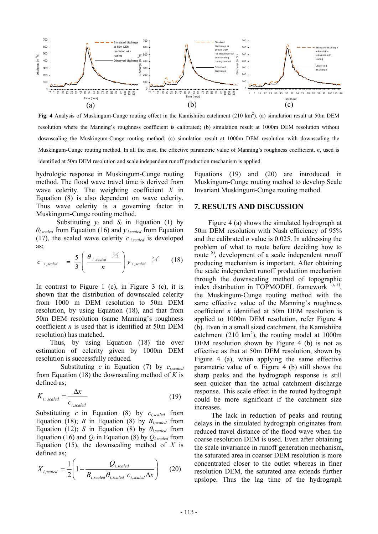

Fig. 4 Analysis of Muskingum-Cunge routing effect in the Kamishiiba catchment (210 km<sup>2</sup>). (a) simulation result at 50m DEM resolution where the Manning's roughness coefficient is calibrated; (b) simulation result at 1000m DEM resolution without downscaling the Muskingum-Cunge routing method; (c) simulation result at 1000m DEM resolution with downscaling the Muskingum-Cunge routing method. In all the case, the effective parametric value of Manning's roughness coefficient, *n*, used is identified at 50m DEM resolution and scale independent runoff production mechanism is applied.

hydrologic response in Muskingum-Cunge routing method. The flood wave travel time is derived from wave celerity. The weighting coefficient *X* in Equation (8) is also dependent on wave celerity. Thus wave celerity is a governing factor in Muskingum-Cunge routing method.

Substituting  $y_i$  and  $S_i$  in Equation (1) by *θi,scaled* from Equation (16) and *y i,scaled* from Equation (17), the scaled wave celerity *c i,scaled* is developed as;

$$
c_{i,scaled} = \frac{5}{3} \left( \frac{\theta_{i,scaled} / 2}{n} \right) y_{i,scaled} / 2/3 \qquad (18)
$$

In contrast to Figure 1 (c), in Figure 3 (c), it is shown that the distribution of downscaled celerity from 1000 m DEM resolution to 50m DEM resolution, by using Equation (18), and that from 50m DEM resolution (same Manning's roughness coefficient *n* is used that is identified at 50m DEM resolution) has matched.

 Thus, by using Equation (18) the over estimation of celerity given by 1000m DEM resolution is successfully reduced.

Substituting *c* in Equation (7) by *ci,scaled* from Equation (18) the downscaling method of *K* is defined as;

$$
K_{i, scaled} = \frac{\Delta x}{c_{i, scaled}}
$$
 (19)

Substituting *c* in Equation (8) by *ci,scaled* from Equation (18); *B* in Equation (8) by  $B_{i, scaled}$  from Equation (12); *S* in Equation (8) by  $\theta_{i, scaled}$  from Equation (16) and  $Q_i$  in Equation (8) by  $Q_{i, scaled}$  from Equation (15), the downscaling method of *X* is defined as;

$$
X_{i, scaled} = \frac{1}{2} \left( 1 - \frac{Q_{i, scaled}}{B_{i, scaled} \theta_{i, scaled}} \Delta x \right)
$$
 (20)

Equations (19) and (20) are introduced in Muskingum-Cunge routing method to develop Scale Invariant Muskingum-Cunge routing method.

#### **7. RESULTS AND DISCUSSION**

 Figure 4 (a) shows the simulated hydrograph at 50m DEM resolution with Nash efficiency of 95% and the calibrated *n* value is 0.025. In addressing the problem of what to route before deciding how to route  $8$ ), development of a scale independent runoff producing mechanism is important. After obtaining the scale independent runoff production mechanism through the downscaling method of topographic index distribution in TOPMODEL framework  $^{1}$ ,  $^{3}$ , the Muskingum-Cunge routing method with the same effective value of the Manning's roughness coefficient *n* identified at 50m DEM resolution is applied to 1000m DEM resolution, refer Figure 4 (b). Even in a small sized catchment, the Kamishiiba catchment (210  $km^2$ ), the routing model at 1000m DEM resolution shown by Figure 4 (b) is not as effective as that at 50m DEM resolution, shown by Figure 4 (a), when applying the same effective parametric value of *n*. Figure 4 (b) still shows the sharp peaks and the hydrograph response is still seen quicker than the actual catchment discharge response. This scale effect in the routed hydrograph could be more significant if the catchment size increases.

The lack in reduction of peaks and routing delays in the simulated hydrograph originates from reduced travel distance of the flood wave when the coarse resolution DEM is used. Even after obtaining the scale invariance in runoff generation mechanism, the saturated area in coarser DEM resolution is more concentrated closer to the outlet whereas in finer resolution DEM, the saturated area extends further upslope. Thus the lag time of the hydrograph